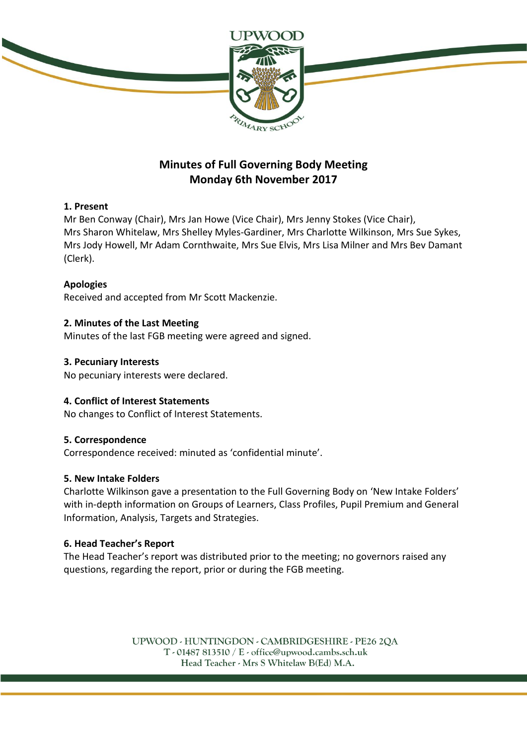

# **Minutes of Full Governing Body Meeting Monday 6th November 2017**

# **1. Present**

Mr Ben Conway (Chair), Mrs Jan Howe (Vice Chair), Mrs Jenny Stokes (Vice Chair), Mrs Sharon Whitelaw, Mrs Shelley Myles-Gardiner, Mrs Charlotte Wilkinson, Mrs Sue Sykes, Mrs Jody Howell, Mr Adam Cornthwaite, Mrs Sue Elvis, Mrs Lisa Milner and Mrs Bev Damant (Clerk).

# **Apologies**

Received and accepted from Mr Scott Mackenzie.

# **2. Minutes of the Last Meeting**

Minutes of the last FGB meeting were agreed and signed.

#### **3. Pecuniary Interests**

No pecuniary interests were declared.

#### **4. Conflict of Interest Statements**

No changes to Conflict of Interest Statements.

#### **5. Correspondence**

Correspondence received: minuted as 'confidential minute'.

#### **5. New Intake Folders**

Charlotte Wilkinson gave a presentation to the Full Governing Body on 'New Intake Folders' with in-depth information on Groups of Learners, Class Profiles, Pupil Premium and General Information, Analysis, Targets and Strategies.

#### **6. Head Teacher's Report**

The Head Teacher's report was distributed prior to the meeting; no governors raised any questions, regarding the report, prior or during the FGB meeting.

> UPWOOD - HUNTINGDON - CAMBRIDGESHIRE - PE26 2QA  $T - 01487813510 / E - 0$  office@upwood.cambs.sch.uk Head Teacher - Mrs S Whitelaw B(Ed) M.A.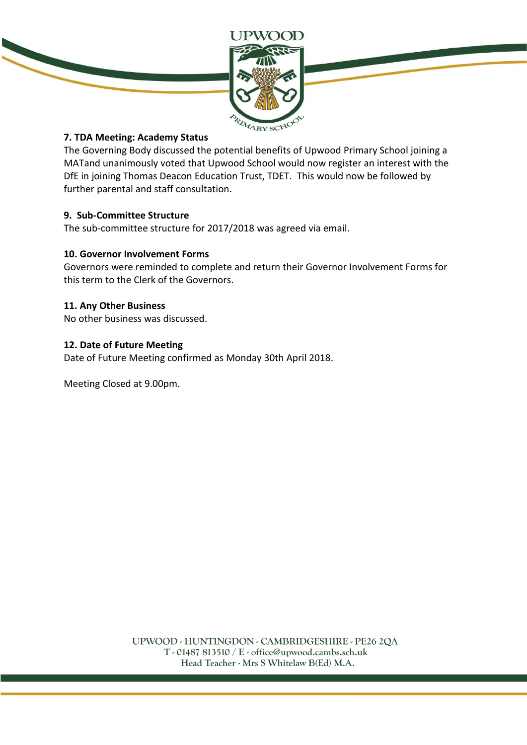

# **7. TDA Meeting: Academy Status**

The Governing Body discussed the potential benefits of Upwood Primary School joining a MATand unanimously voted that Upwood School would now register an interest with the DfE in joining Thomas Deacon Education Trust, TDET. This would now be followed by further parental and staff consultation.

#### **9. Sub-Committee Structure**

The sub-committee structure for 2017/2018 was agreed via email.

#### **10. Governor Involvement Forms**

Governors were reminded to complete and return their Governor Involvement Forms for this term to the Clerk of the Governors.

#### **11. Any Other Business**

No other business was discussed.

#### **12. Date of Future Meeting**

Date of Future Meeting confirmed as Monday 30th April 2018.

Meeting Closed at 9.00pm.